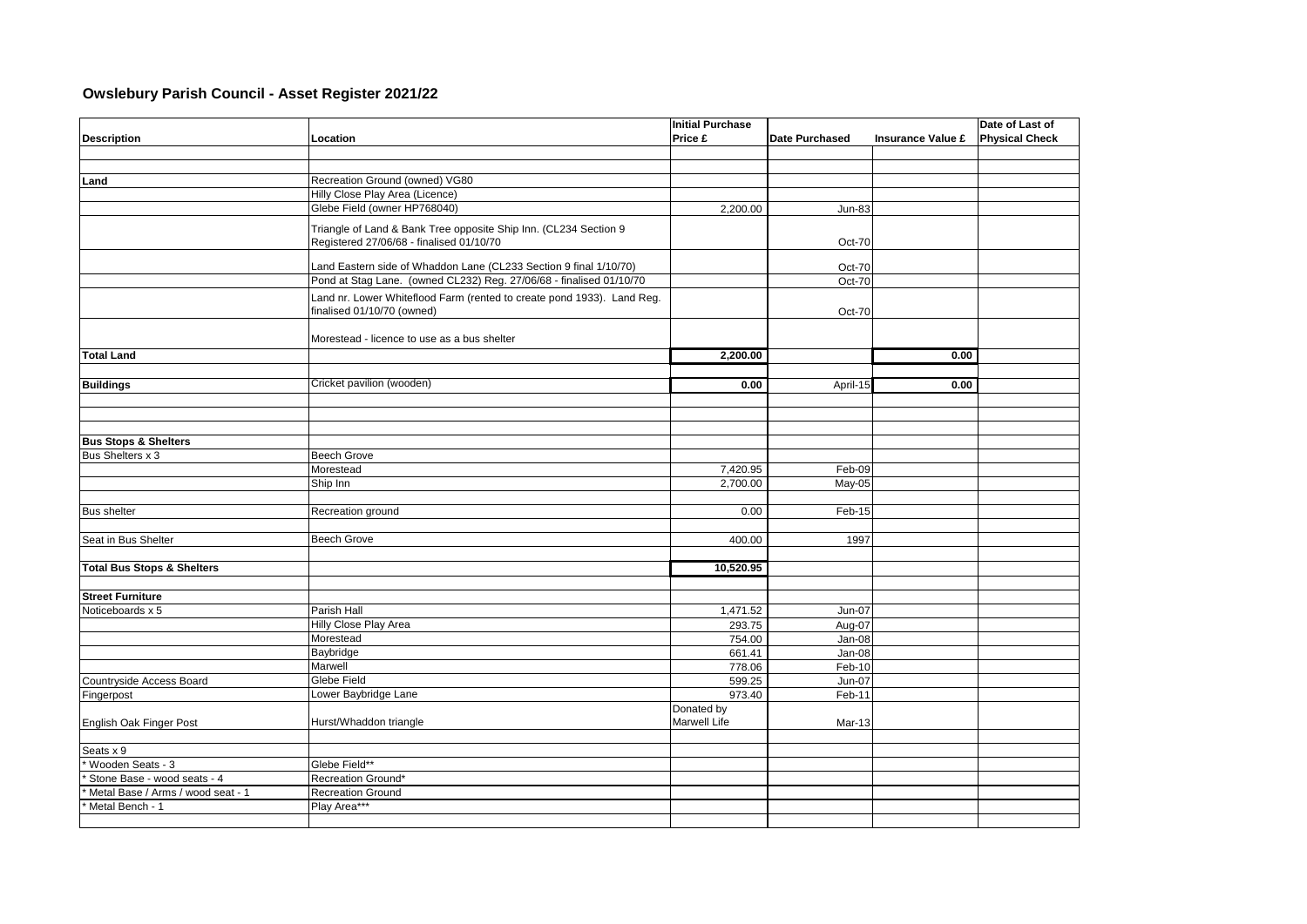## **Owslebury Parish Council - Asset Register 2021/22**

|                                       |                                                                        | <b>Initial Purchase</b> |                       |                          | Date of Last of       |
|---------------------------------------|------------------------------------------------------------------------|-------------------------|-----------------------|--------------------------|-----------------------|
| <b>Description</b>                    | Location                                                               | Price £                 | <b>Date Purchased</b> | <b>Insurance Value £</b> | <b>Physical Check</b> |
|                                       |                                                                        |                         |                       |                          |                       |
|                                       |                                                                        |                         |                       |                          |                       |
| Land                                  | Recreation Ground (owned) VG80                                         |                         |                       |                          |                       |
|                                       | Hilly Close Play Area (Licence)                                        |                         |                       |                          |                       |
|                                       | Glebe Field (owner HP768040)                                           | 2,200.00                | <b>Jun-83</b>         |                          |                       |
|                                       |                                                                        |                         |                       |                          |                       |
|                                       | Triangle of Land & Bank Tree opposite Ship Inn. (CL234 Section 9       |                         |                       |                          |                       |
|                                       | Registered 27/06/68 - finalised 01/10/70                               |                         | Oct-70                |                          |                       |
|                                       | Land Eastern side of Whaddon Lane (CL233 Section 9 final 1/10/70)      |                         | Oct-70                |                          |                       |
|                                       | Pond at Stag Lane. (owned CL232) Reg. 27/06/68 - finalised 01/10/70    |                         | Oct-70                |                          |                       |
|                                       | Land nr. Lower Whiteflood Farm (rented to create pond 1933). Land Reg. |                         |                       |                          |                       |
|                                       | finalised 01/10/70 (owned)                                             |                         | Oct-70                |                          |                       |
|                                       |                                                                        |                         |                       |                          |                       |
|                                       | Morestead - licence to use as a bus shelter                            |                         |                       |                          |                       |
| <b>Total Land</b>                     |                                                                        |                         |                       | 0.00                     |                       |
|                                       |                                                                        | 2,200.00                |                       |                          |                       |
|                                       | Cricket pavilion (wooden)                                              |                         |                       |                          |                       |
| <b>Buildings</b>                      |                                                                        | 0.00                    | April-15              | 0.00                     |                       |
|                                       |                                                                        |                         |                       |                          |                       |
|                                       |                                                                        |                         |                       |                          |                       |
|                                       |                                                                        |                         |                       |                          |                       |
| <b>Bus Stops &amp; Shelters</b>       |                                                                        |                         |                       |                          |                       |
| Bus Shelters x 3                      | <b>Beech Grove</b>                                                     |                         |                       |                          |                       |
|                                       | Morestead                                                              | 7,420.95                | Feb-09                |                          |                       |
|                                       | Ship Inn                                                               | 2,700.00                | $May-05$              |                          |                       |
|                                       |                                                                        | 0.00                    | Feb-15                |                          |                       |
| <b>Bus shelter</b>                    | Recreation ground                                                      |                         |                       |                          |                       |
| Seat in Bus Shelter                   | Beech Grove                                                            | 400.00                  | 1997                  |                          |                       |
|                                       |                                                                        |                         |                       |                          |                       |
| <b>Total Bus Stops &amp; Shelters</b> |                                                                        | 10,520.95               |                       |                          |                       |
|                                       |                                                                        |                         |                       |                          |                       |
| <b>Street Furniture</b>               |                                                                        |                         |                       |                          |                       |
| Noticeboards x 5                      | Parish Hall                                                            | 1,471.52                | <b>Jun-07</b>         |                          |                       |
|                                       | Hilly Close Play Area                                                  | 293.75                  | Aug-07                |                          |                       |
|                                       | Morestead                                                              | 754.00                  | Jan-08                |                          |                       |
|                                       | Baybridge                                                              | 661.41                  | Jan-08                |                          |                       |
|                                       | Marwell                                                                | 778.06                  | Feb-10                |                          |                       |
| Countryside Access Board              | Glebe Field                                                            | 599.25                  | <b>Jun-07</b>         |                          |                       |
| Fingerpost                            | Lower Baybridge Lane                                                   | 973.40                  | Feb-11                |                          |                       |
|                                       |                                                                        | Donated by              |                       |                          |                       |
| English Oak Finger Post               | Hurst/Whaddon triangle                                                 | Marwell Life            | Mar-13                |                          |                       |
|                                       |                                                                        |                         |                       |                          |                       |
| Seats x 9                             |                                                                        |                         |                       |                          |                       |
| Wooden Seats - 3                      | Glebe Field**                                                          |                         |                       |                          |                       |
| Stone Base - wood seats - 4           | Recreation Ground*                                                     |                         |                       |                          |                       |
| Metal Base / Arms / wood seat - 1     | <b>Recreation Ground</b>                                               |                         |                       |                          |                       |
| Metal Bench - 1                       | Play Area***                                                           |                         |                       |                          |                       |
|                                       |                                                                        |                         |                       |                          |                       |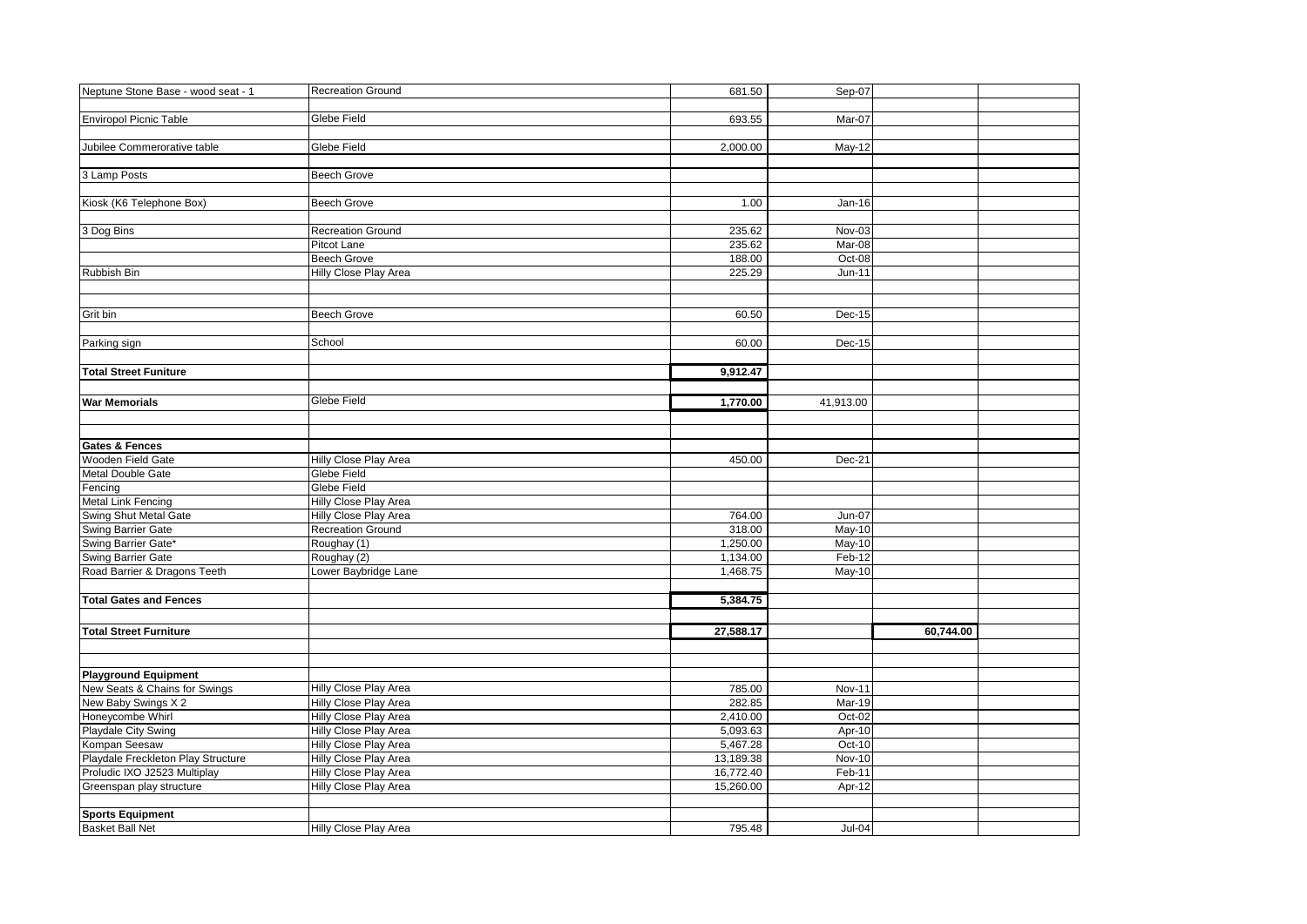| Neptune Stone Base - wood seat - 1 | <b>Recreation Ground</b> | 681.50    | Sep-07        |           |  |
|------------------------------------|--------------------------|-----------|---------------|-----------|--|
|                                    |                          |           |               |           |  |
| <b>Enviropol Picnic Table</b>      | Glebe Field              | 693.55    | Mar-07        |           |  |
|                                    |                          |           |               |           |  |
| Jubilee Commerorative table        | Glebe Field              | 2,000.00  | May-12        |           |  |
|                                    |                          |           |               |           |  |
| 3 Lamp Posts                       | <b>Beech Grove</b>       |           |               |           |  |
|                                    |                          |           |               |           |  |
| Kiosk (K6 Telephone Box)           | <b>Beech Grove</b>       | 1.00      | $Jan-16$      |           |  |
|                                    |                          |           |               |           |  |
| 3 Dog Bins                         | <b>Recreation Ground</b> | 235.62    | Nov-03        |           |  |
|                                    | Pitcot Lane              | 235.62    | Mar-08        |           |  |
|                                    | <b>Beech Grove</b>       | 188.00    | Oct-08        |           |  |
| Rubbish Bin                        | Hilly Close Play Area    | 225.29    | Jun-11        |           |  |
|                                    |                          |           |               |           |  |
|                                    |                          |           |               |           |  |
| Grit bin                           | <b>Beech Grove</b>       | 60.50     | Dec-15        |           |  |
|                                    |                          |           |               |           |  |
| Parking sign                       | School                   | 60.00     | Dec-15        |           |  |
|                                    |                          |           |               |           |  |
| <b>Total Street Funiture</b>       |                          | 9,912.47  |               |           |  |
|                                    |                          |           |               |           |  |
| <b>War Memorials</b>               | Glebe Field              | 1,770.00  | 41,913.00     |           |  |
|                                    |                          |           |               |           |  |
|                                    |                          |           |               |           |  |
| <b>Gates &amp; Fences</b>          |                          |           |               |           |  |
| Wooden Field Gate                  | Hilly Close Play Area    | 450.00    | Dec-21        |           |  |
| <b>Metal Double Gate</b>           | Glebe Field              |           |               |           |  |
| Fencing                            | Glebe Field              |           |               |           |  |
| <b>Metal Link Fencing</b>          | Hilly Close Play Area    |           |               |           |  |
| Swing Shut Metal Gate              | Hilly Close Play Area    | 764.00    | Jun-07        |           |  |
| Swing Barrier Gate                 | <b>Recreation Ground</b> | 318.00    | $May-10$      |           |  |
| Swing Barrier Gate*                | Roughay (1)              | 1,250.00  | May-10        |           |  |
| Swing Barrier Gate                 | Roughay (2)              | 1,134.00  | Feb-12        |           |  |
| Road Barrier & Dragons Teeth       | Lower Baybridge Lane     | 1,468.75  | May-10        |           |  |
|                                    |                          |           |               |           |  |
| <b>Total Gates and Fences</b>      |                          | 5,384.75  |               |           |  |
|                                    |                          |           |               |           |  |
| <b>Total Street Furniture</b>      |                          | 27,588.17 |               | 60,744.00 |  |
|                                    |                          |           |               |           |  |
|                                    |                          |           |               |           |  |
| <b>Playground Equipment</b>        |                          |           |               |           |  |
| New Seats & Chains for Swings      | Hilly Close Play Area    | 785.00    | <b>Nov-11</b> |           |  |
| New Baby Swings X 2                | Hilly Close Play Area    | 282.85    | Mar-19        |           |  |
| Honeycombe Whirl                   | Hilly Close Play Area    | 2,410.00  | Oct-02        |           |  |
| Playdale City Swing                | Hilly Close Play Area    | 5,093.63  | Apr-10        |           |  |
| Kompan Seesaw                      | Hilly Close Play Area    | 5,467.28  | Oct-10        |           |  |
| Playdale Freckleton Play Structure | Hilly Close Play Area    | 13,189.38 | <b>Nov-10</b> |           |  |
| Proludic IXO J2523 Multiplay       | Hilly Close Play Area    | 16,772.40 | Feb-11        |           |  |
| Greenspan play structure           | Hilly Close Play Area    | 15,260.00 | Apr-12        |           |  |
|                                    |                          |           |               |           |  |
| <b>Sports Equipment</b>            |                          |           |               |           |  |
| <b>Basket Ball Net</b>             | Hilly Close Play Area    | 795.48    | $Jul-04$      |           |  |